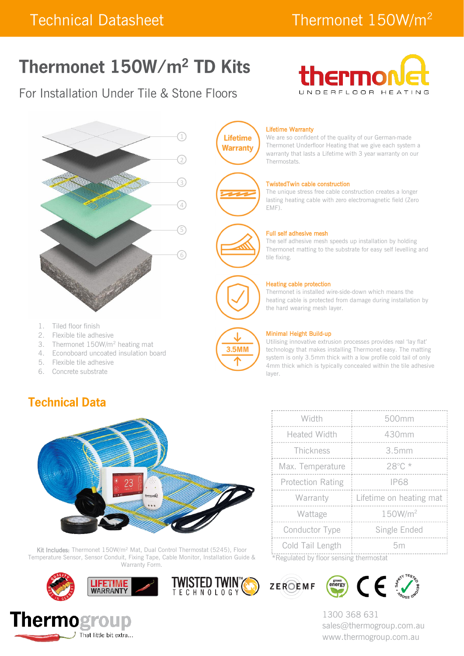# Thermonet 150W/m<sup>2</sup> TD Kits

## For Installation Under Tile & Stone Floors





- 1. Tiled floor finish
- 2. Flexible tile adhesive
- 3. Thermonet 150W/m<sup>2</sup> heating mat
- 4. Econoboard uncoated insulation board
- 5. Flexible tile adhesive
- 6. Concrete substrate

### **Technical Data**



Kit Includes: Thermonet 150W/m<sup>2</sup> Mat, Dual Control Thermostat (5245), Floor Temperature Sensor, Sensor Conduit, Fixing Tape, Cable Monitor, Installation Guide & Warranty Form.









We are so confident of the quality of our German-made Thermonet Underfloor Heating that we give each system a warranty that lasts a Lifetime with 3 year warranty on our Thermostats.

#### TwistedTwin cable construction

The unique stress free cable construction creates a longer lasting heating cable with zero electromagnetic field (Zero EMF).



**Lifetime Warranty** 

#### Full self adhesive mesh

The self adhesive mesh speeds up installation by holding Thermonet matting to the substrate for easy self levelling and tile fixing.

#### Heating cable protection

Thermonet is installed wire-side-down which means the heating cable is protected from damage during installation by the hard wearing mesh layer.



#### Minimal Height Build-up

Utilising innovative extrusion processes provides real 'lay flat' technology that makes installing Thermonet easy. The matting system is only 3.5mm thick with a low profile cold tail of only 4mm thick which is typically concealed within the tile adhesive layer.

| Width                                  | 500mm                   |  |  |
|----------------------------------------|-------------------------|--|--|
| <b>Heated Width</b>                    | 430mm                   |  |  |
| Thickness                              | 3.5mm                   |  |  |
| Max. Temperature                       | 28°C *                  |  |  |
| <b>Protection Rating</b>               | <b>IP68</b>             |  |  |
| Warranty                               | Lifetime on heating mat |  |  |
| Wattage                                | 150W/m <sup>2</sup>     |  |  |
| Conductor Type                         | Single Ended            |  |  |
| Cold Tail Length                       | 5m                      |  |  |
| *Requisted by floor sensing thermostat |                         |  |  |

\*Regulated by floor sensing thermostat



**TWISTED TWINTS** 



1300 368 631 sales@thermogroup.com.au www.thermogroup.com.au